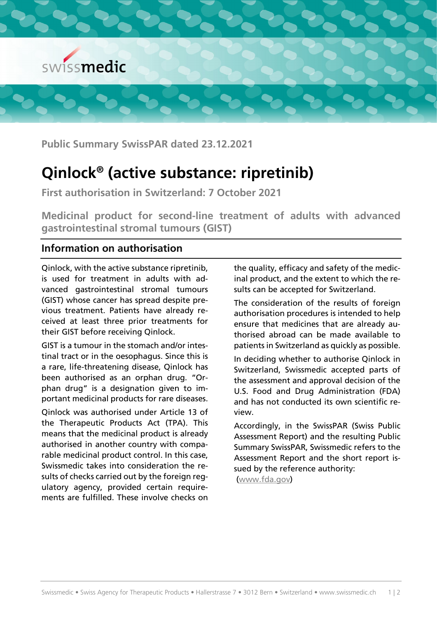

**Public Summary SwissPAR dated 23.12.2021**

## **Qinlock® (active substance: ripretinib)**

**First authorisation in Switzerland: 7 October 2021**

**Medicinal product for second-line treatment of adults with advanced gastrointestinal stromal tumours (GIST)** 

## **Information on authorisation**

Qinlock, with the active substance ripretinib, is used for treatment in adults with advanced gastrointestinal stromal tumours (GIST) whose cancer has spread despite previous treatment. Patients have already received at least three prior treatments for their GIST before receiving Qinlock.

GIST is a tumour in the stomach and/or intestinal tract or in the oesophagus. Since this is a rare, life-threatening disease, Qinlock has been authorised as an orphan drug. "Orphan drug" is a designation given to important medicinal products for rare diseases.

Qinlock was authorised under Article 13 of the Therapeutic Products Act (TPA). This means that the medicinal product is already authorised in another country with comparable medicinal product control. In this case, Swissmedic takes into consideration the results of checks carried out by the foreign regulatory agency, provided certain requirements are fulfilled. These involve checks on

the quality, efficacy and safety of the medicinal product, and the extent to which the results can be accepted for Switzerland.

The consideration of the results of foreign authorisation procedures is intended to help ensure that medicines that are already authorised abroad can be made available to patients in Switzerland as quickly as possible.

In deciding whether to authorise Qinlock in Switzerland, Swissmedic accepted parts of the assessment and approval decision of the U.S. Food and Drug Administration (FDA) and has not conducted its own scientific review.

Accordingly, in the SwissPAR (Swiss Public Assessment Report) and the resulting Public Summary SwissPAR, Swissmedic refers to the Assessment Report and the short report issued by the reference authority:

(www.fda.gov)